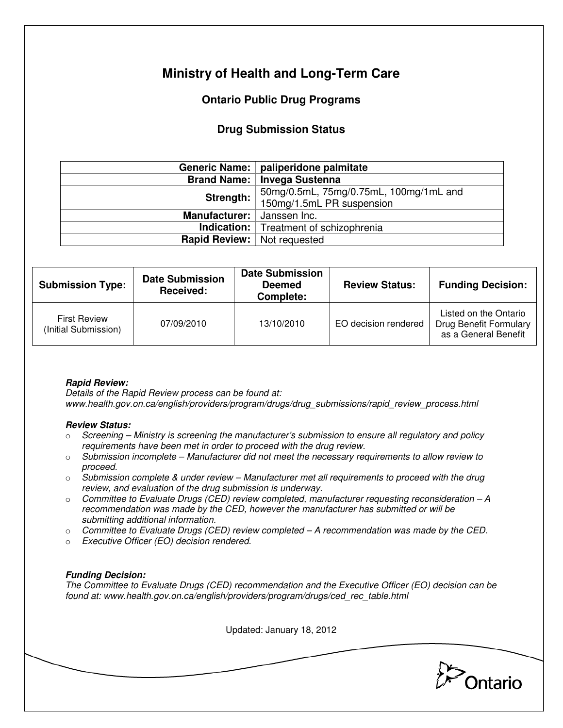# **Ministry of Health and Long-Term Care**

## **Ontario Public Drug Programs**

## **Drug Submission Status**

|                                    | Generic Name:   paliperidone palmitate                              |  |
|------------------------------------|---------------------------------------------------------------------|--|
| <b>Brand Name:</b>                 | Invega Sustenna                                                     |  |
| Strength:                          | 50mg/0.5mL, 75mg/0.75mL, 100mg/1mL and<br>150mg/1.5mL PR suspension |  |
| Manufacturer:                      | Janssen Inc.<br><b>Indication:</b> Treatment of schizophrenia       |  |
|                                    |                                                                     |  |
| <b>Rapid Review:</b> Not requested |                                                                     |  |

| <b>Submission Type:</b>                     | <b>Date Submission</b><br>Received: | <b>Date Submission</b><br><b>Deemed</b><br>Complete: | <b>Review Status:</b> | <b>Funding Decision:</b>                                                       |
|---------------------------------------------|-------------------------------------|------------------------------------------------------|-----------------------|--------------------------------------------------------------------------------|
| <b>First Review</b><br>(Initial Submission) | 07/09/2010                          | 13/10/2010                                           | EO decision rendered  | Listed on the Ontario<br><b>Drug Benefit Formulary</b><br>as a General Benefit |

### **Rapid Review:**

Details of the Rapid Review process can be found at: www.health.gov.on.ca/english/providers/program/drugs/drug\_submissions/rapid\_review\_process.html

#### **Review Status:**

- $\circ$  Screening Ministry is screening the manufacturer's submission to ensure all regulatory and policy requirements have been met in order to proceed with the drug review.
- $\circ$  Submission incomplete Manufacturer did not meet the necessary requirements to allow review to proceed.
- $\circ$  Submission complete & under review Manufacturer met all requirements to proceed with the drug review, and evaluation of the drug submission is underway.
- $\circ$  Committee to Evaluate Drugs (CED) review completed, manufacturer requesting reconsideration  $-A$ recommendation was made by the CED, however the manufacturer has submitted or will be submitting additional information.
- $\circ$  Committee to Evaluate Drugs (CED) review completed A recommendation was made by the CED.
- o Executive Officer (EO) decision rendered.

### **Funding Decision:**

The Committee to Evaluate Drugs (CED) recommendation and the Executive Officer (EO) decision can be found at: www.health.gov.on.ca/english/providers/program/drugs/ced\_rec\_table.html

Updated: January 18, 2012